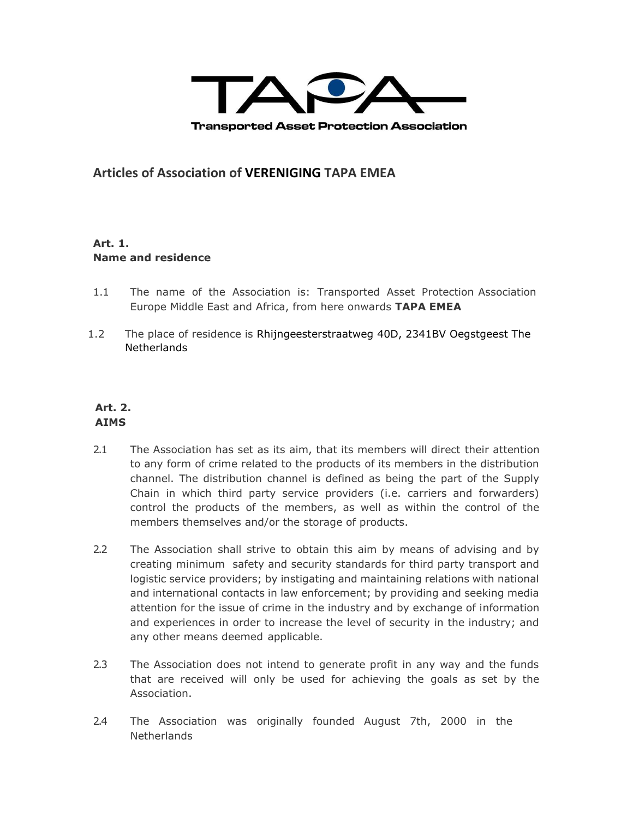

**Articles of Association of VERENIGING TAPA EMEA**

# **Art. 1. Name and residence**

- 1.1 The name of the Association is: Transported Asset Protection Association Europe Middle East and Africa, from here onwards **TAPA EMEA**
- 1.2 The place of residence is Rhijngeesterstraatweg 40D, 2341BV Oegstgeest The **Netherlands**

# **Art. 2. AIMS**

- 2.1 The Association has set as its aim, that its members will direct their attention to any form of crime related to the products of its members in the distribution channel. The distribution channel is defined as being the part of the Supply Chain in which third party service providers (i.e. carriers and forwarders) control the products of the members, as well as within the control of the members themselves and/or the storage of products.
- 2.2 The Association shall strive to obtain this aim by means of advising and by creating minimum safety and security standards for third party transport and logistic service providers; by instigating and maintaining relations with national and international contacts in law enforcement; by providing and seeking media attention for the issue of crime in the industry and by exchange of information and experiences in order to increase the level of security in the industry; and any other means deemed applicable.
- 2.3 The Association does not intend to generate profit in any way and the funds that are received will only be used for achieving the goals as set by the Association.
- 2.4 The Association was originally founded August 7th, 2000 in the Netherlands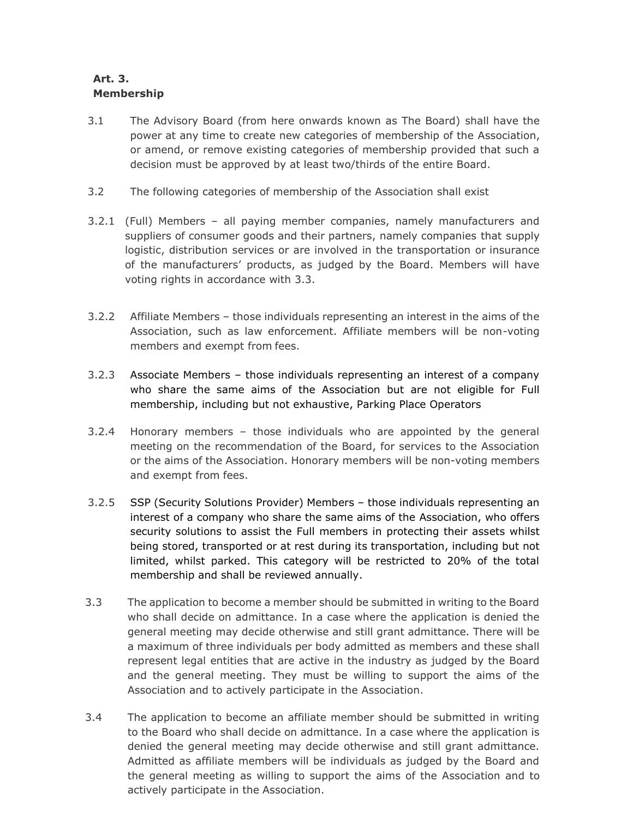# **Art. 3. Membership**

- 3.1 The Advisory Board (from here onwards known as The Board) shall have the power at any time to create new categories of membership of the Association, or amend, or remove existing categories of membership provided that such a decision must be approved by at least two/thirds of the entire Board.
- 3.2 The following categories of membership of the Association shall exist
- 3.2.1 (Full) Members all paying member companies, namely manufacturers and suppliers of consumer goods and their partners, namely companies that supply logistic, distribution services or are involved in the transportation or insurance of the manufacturers' products, as judged by the Board. Members will have voting rights in accordance with 3.3.
- 3.2.2 Affiliate Members those individuals representing an interest in the aims of the Association, such as law enforcement. Affiliate members will be non-voting members and exempt from fees.
- 3.2.3 Associate Members those individuals representing an interest of a company who share the same aims of the Association but are not eligible for Full membership, including but not exhaustive, Parking Place Operators
- 3.2.4 Honorary members those individuals who are appointed by the general meeting on the recommendation of the Board, for services to the Association or the aims of the Association. Honorary members will be non-voting members and exempt from fees.
- 3.2.5 SSP (Security Solutions Provider) Members those individuals representing an interest of a company who share the same aims of the Association, who offers security solutions to assist the Full members in protecting their assets whilst being stored, transported or at rest during its transportation, including but not limited, whilst parked. This category will be restricted to 20% of the total membership and shall be reviewed annually.
- 3.3 The application to become a member should be submitted in writing to the Board who shall decide on admittance. In a case where the application is denied the general meeting may decide otherwise and still grant admittance. There will be a maximum of three individuals per body admitted as members and these shall represent legal entities that are active in the industry as judged by the Board and the general meeting. They must be willing to support the aims of the Association and to actively participate in the Association.
- 3.4 The application to become an affiliate member should be submitted in writing to the Board who shall decide on admittance. In a case where the application is denied the general meeting may decide otherwise and still grant admittance. Admitted as affiliate members will be individuals as judged by the Board and the general meeting as willing to support the aims of the Association and to actively participate in the Association.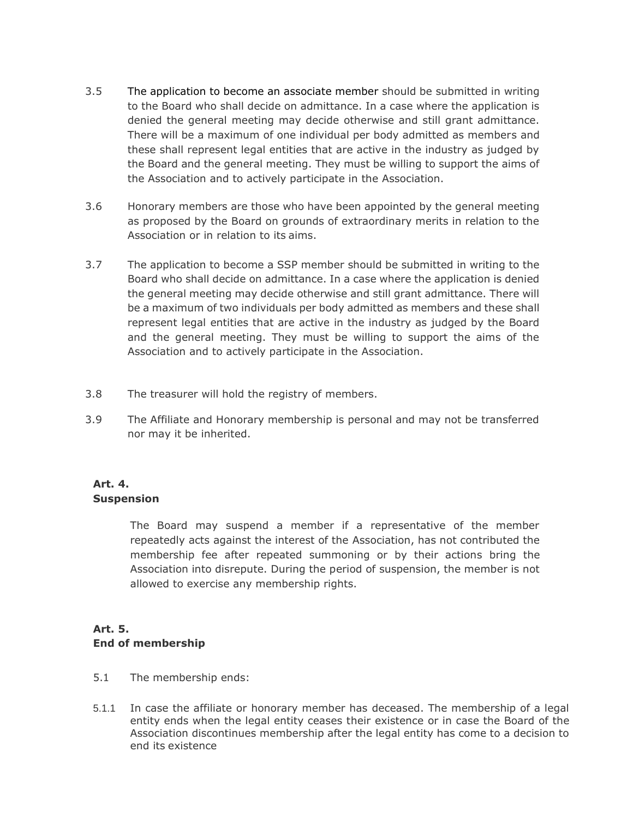- 3.5 The application to become an associate member should be submitted in writing to the Board who shall decide on admittance. In a case where the application is denied the general meeting may decide otherwise and still grant admittance. There will be a maximum of one individual per body admitted as members and these shall represent legal entities that are active in the industry as judged by the Board and the general meeting. They must be willing to support the aims of the Association and to actively participate in the Association.
- 3.6 Honorary members are those who have been appointed by the general meeting as proposed by the Board on grounds of extraordinary merits in relation to the Association or in relation to its aims.
- 3.7 The application to become a SSP member should be submitted in writing to the Board who shall decide on admittance. In a case where the application is denied the general meeting may decide otherwise and still grant admittance. There will be a maximum of two individuals per body admitted as members and these shall represent legal entities that are active in the industry as judged by the Board and the general meeting. They must be willing to support the aims of the Association and to actively participate in the Association.
- 3.8 The treasurer will hold the registry of members.
- 3.9 The Affiliate and Honorary membership is personal and may not be transferred nor may it be inherited.

## **Art. 4. Suspension**

The Board may suspend a member if a representative of the member repeatedly acts against the interest of the Association, has not contributed the membership fee after repeated summoning or by their actions bring the Association into disrepute. During the period of suspension, the member is not allowed to exercise any membership rights.

# **Art. 5. End of membership**

- 5.1 The membership ends:
- 5.1.1 In case the affiliate or honorary member has deceased. The membership of a legal entity ends when the legal entity ceases their existence or in case the Board of the Association discontinues membership after the legal entity has come to a decision to end its existence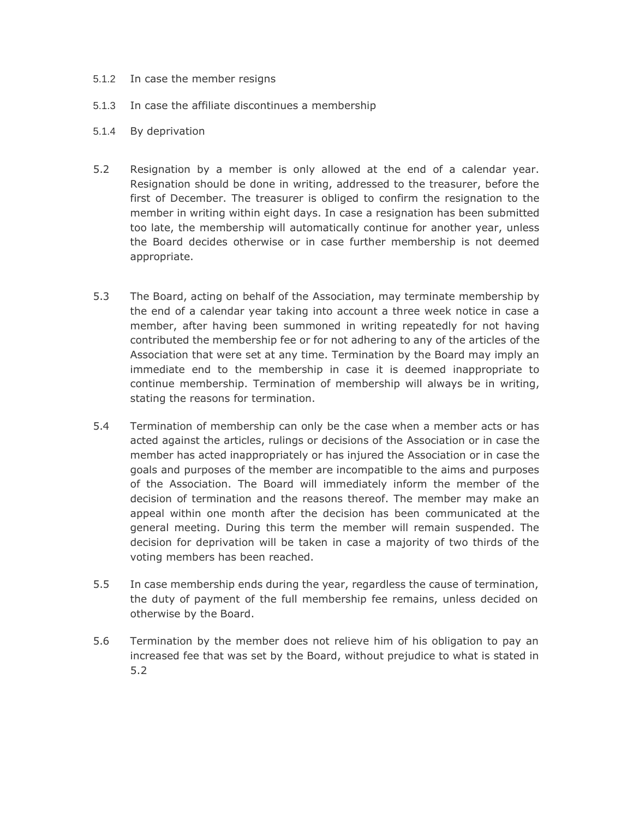- 5.1.2 In case the member resigns
- 5.1.3 In case the affiliate discontinues a membership
- 5.1.4 By deprivation
- 5.2 Resignation by a member is only allowed at the end of a calendar year. Resignation should be done in writing, addressed to the treasurer, before the first of December. The treasurer is obliged to confirm the resignation to the member in writing within eight days. In case a resignation has been submitted too late, the membership will automatically continue for another year, unless the Board decides otherwise or in case further membership is not deemed appropriate.
- 5.3 The Board, acting on behalf of the Association, may terminate membership by the end of a calendar year taking into account a three week notice in case a member, after having been summoned in writing repeatedly for not having contributed the membership fee or for not adhering to any of the articles of the Association that were set at any time. Termination by the Board may imply an immediate end to the membership in case it is deemed inappropriate to continue membership. Termination of membership will always be in writing, stating the reasons for termination.
- 5.4 Termination of membership can only be the case when a member acts or has acted against the articles, rulings or decisions of the Association or in case the member has acted inappropriately or has injured the Association or in case the goals and purposes of the member are incompatible to the aims and purposes of the Association. The Board will immediately inform the member of the decision of termination and the reasons thereof. The member may make an appeal within one month after the decision has been communicated at the general meeting. During this term the member will remain suspended. The decision for deprivation will be taken in case a majority of two thirds of the voting members has been reached.
- 5.5 In case membership ends during the year, regardless the cause of termination, the duty of payment of the full membership fee remains, unless decided on otherwise by the Board.
- 5.6 Termination by the member does not relieve him of his obligation to pay an increased fee that was set by the Board, without prejudice to what is stated in 5.2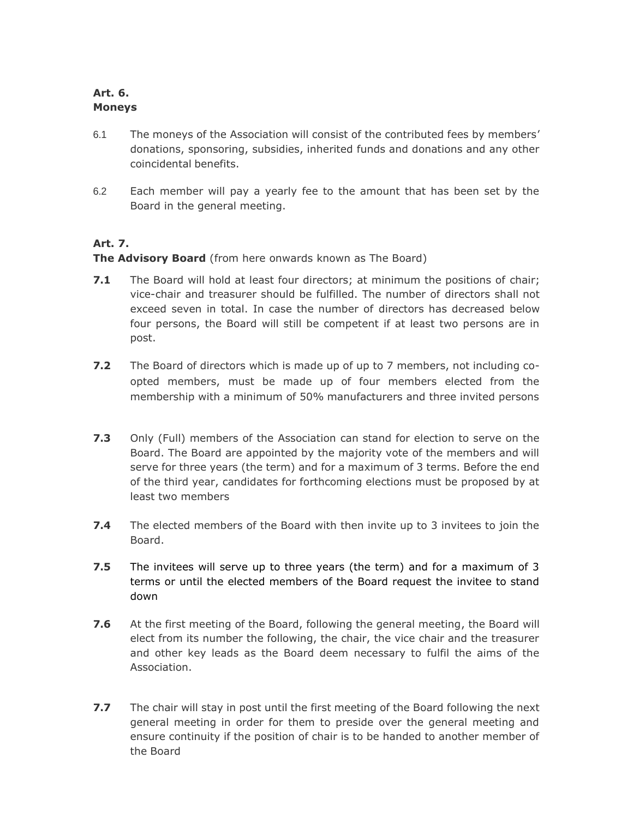# **Art. 6. Moneys**

- 6.1 The moneys of the Association will consist of the contributed fees by members' donations, sponsoring, subsidies, inherited funds and donations and any other coincidental benefits.
- 6.2 Each member will pay a yearly fee to the amount that has been set by the Board in the general meeting.

# **Art. 7.**

**The Advisory Board** (from here onwards known as The Board)

- **7.1** The Board will hold at least four directors; at minimum the positions of chair; vice-chair and treasurer should be fulfilled. The number of directors shall not exceed seven in total. In case the number of directors has decreased below four persons, the Board will still be competent if at least two persons are in post.
- **7.2** The Board of directors which is made up of up to 7 members, not including coopted members, must be made up of four members elected from the membership with a minimum of 50% manufacturers and three invited persons
- **7.3** Only (Full) members of the Association can stand for election to serve on the Board. The Board are appointed by the majority vote of the members and will serve for three years (the term) and for a maximum of 3 terms. Before the end of the third year, candidates for forthcoming elections must be proposed by at least two members
- **7.4** The elected members of the Board with then invite up to 3 invitees to join the Board.
- **7.5** The invitees will serve up to three years (the term) and for a maximum of 3 terms or until the elected members of the Board request the invitee to stand down
- **7.6** At the first meeting of the Board, following the general meeting, the Board will elect from its number the following, the chair, the vice chair and the treasurer and other key leads as the Board deem necessary to fulfil the aims of the Association.
- **7.7** The chair will stay in post until the first meeting of the Board following the next general meeting in order for them to preside over the general meeting and ensure continuity if the position of chair is to be handed to another member of the Board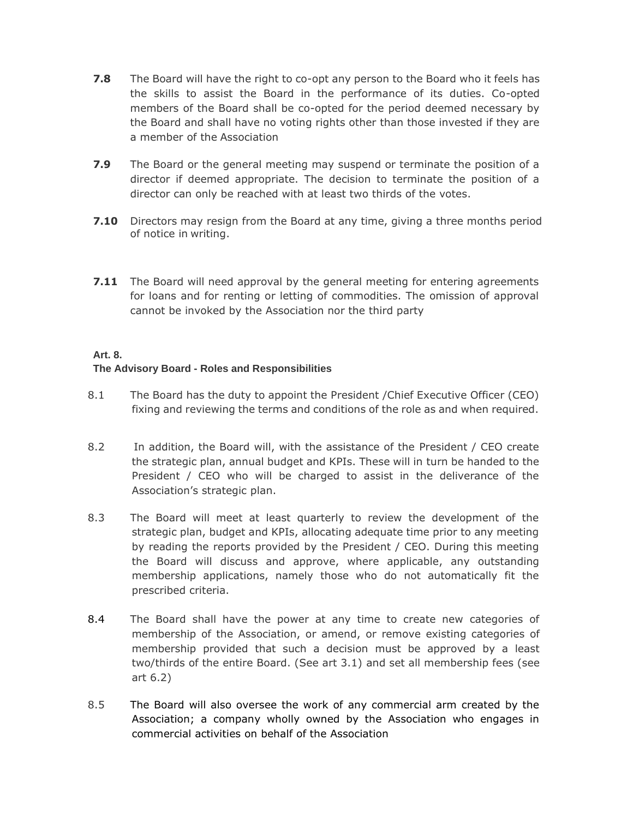- **7.8** The Board will have the right to co-opt any person to the Board who it feels has the skills to assist the Board in the performance of its duties. Co-opted members of the Board shall be co-opted for the period deemed necessary by the Board and shall have no voting rights other than those invested if they are a member of the Association
- **7.9** The Board or the general meeting may suspend or terminate the position of a director if deemed appropriate. The decision to terminate the position of a director can only be reached with at least two thirds of the votes.
- **7.10** Directors may resign from the Board at any time, giving a three months period of notice in writing.
- **7.11** The Board will need approval by the general meeting for entering agreements for loans and for renting or letting of commodities. The omission of approval cannot be invoked by the Association nor the third party

## **Art. 8.**

#### **The Advisory Board - Roles and Responsibilities**

- 8.1 The Board has the duty to appoint the President /Chief Executive Officer (CEO) fixing and reviewing the terms and conditions of the role as and when required.
- 8.2 In addition, the Board will, with the assistance of the President / CEO create the strategic plan, annual budget and KPIs. These will in turn be handed to the President / CEO who will be charged to assist in the deliverance of the Association's strategic plan.
- 8.3 The Board will meet at least quarterly to review the development of the strategic plan, budget and KPIs, allocating adequate time prior to any meeting by reading the reports provided by the President / CEO. During this meeting the Board will discuss and approve, where applicable, any outstanding membership applications, namely those who do not automatically fit the prescribed criteria.
- 8.4 The Board shall have the power at any time to create new categories of membership of the Association, or amend, or remove existing categories of membership provided that such a decision must be approved by a least two/thirds of the entire Board. (See art 3.1) and set all membership fees (see art 6.2)
- 8.5 The Board will also oversee the work of any commercial arm created by the Association; a company wholly owned by the Association who engages in commercial activities on behalf of the Association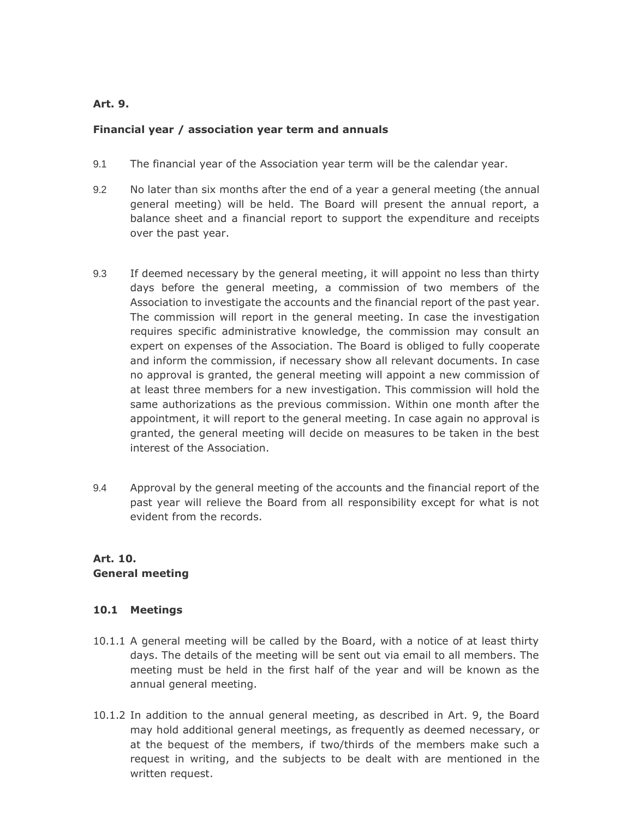### **Art. 9.**

#### **Financial year / association year term and annuals**

- 9.1 The financial year of the Association year term will be the calendar year.
- 9.2 No later than six months after the end of a year a general meeting (the annual general meeting) will be held. The Board will present the annual report, a balance sheet and a financial report to support the expenditure and receipts over the past year.
- 9.3 If deemed necessary by the general meeting, it will appoint no less than thirty days before the general meeting, a commission of two members of the Association to investigate the accounts and the financial report of the past year. The commission will report in the general meeting. In case the investigation requires specific administrative knowledge, the commission may consult an expert on expenses of the Association. The Board is obliged to fully cooperate and inform the commission, if necessary show all relevant documents. In case no approval is granted, the general meeting will appoint a new commission of at least three members for a new investigation. This commission will hold the same authorizations as the previous commission. Within one month after the appointment, it will report to the general meeting. In case again no approval is granted, the general meeting will decide on measures to be taken in the best interest of the Association.
- 9.4 Approval by the general meeting of the accounts and the financial report of the past year will relieve the Board from all responsibility except for what is not evident from the records.

## **Art. 10. General meeting**

## **10.1 Meetings**

- 10.1.1 A general meeting will be called by the Board, with a notice of at least thirty days. The details of the meeting will be sent out via email to all members. The meeting must be held in the first half of the year and will be known as the annual general meeting.
- 10.1.2 In addition to the annual general meeting, as described in Art. 9, the Board may hold additional general meetings, as frequently as deemed necessary, or at the bequest of the members, if two/thirds of the members make such a request in writing, and the subjects to be dealt with are mentioned in the written request.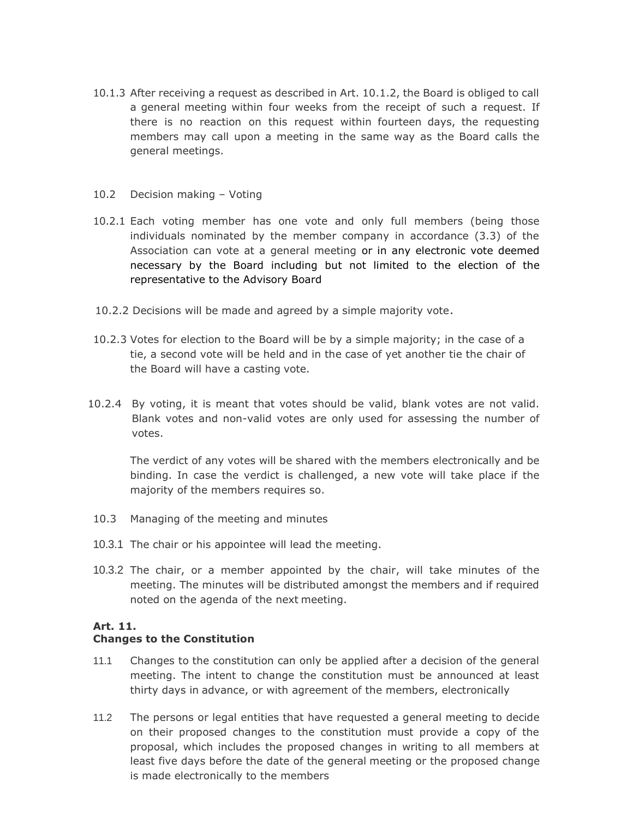- 10.1.3 After receiving a request as described in Art. 10.1.2, the Board is obliged to call a general meeting within four weeks from the receipt of such a request. If there is no reaction on this request within fourteen days, the requesting members may call upon a meeting in the same way as the Board calls the general meetings.
- 10.2 Decision making Voting
- 10.2.1 Each voting member has one vote and only full members (being those individuals nominated by the member company in accordance (3.3) of the Association can vote at a general meeting or in any electronic vote deemed necessary by the Board including but not limited to the election of the representative to the Advisory Board
- 10.2.2 Decisions will be made and agreed by a simple majority vote.
- 10.2.3 Votes for election to the Board will be by a simple majority; in the case of a tie, a second vote will be held and in the case of yet another tie the chair of the Board will have a casting vote.
- 10.2.4 By voting, it is meant that votes should be valid, blank votes are not valid. Blank votes and non-valid votes are only used for assessing the number of votes.

The verdict of any votes will be shared with the members electronically and be binding. In case the verdict is challenged, a new vote will take place if the majority of the members requires so.

- 10.3 Managing of the meeting and minutes
- 10.3.1 The chair or his appointee will lead the meeting.
- 10.3.2 The chair, or a member appointed by the chair, will take minutes of the meeting. The minutes will be distributed amongst the members and if required noted on the agenda of the next meeting.

#### **Art. 11.**

#### **Changes to the Constitution**

- 11.1 Changes to the constitution can only be applied after a decision of the general meeting. The intent to change the constitution must be announced at least thirty days in advance, or with agreement of the members, electronically
- 11.2 The persons or legal entities that have requested a general meeting to decide on their proposed changes to the constitution must provide a copy of the proposal, which includes the proposed changes in writing to all members at least five days before the date of the general meeting or the proposed change is made electronically to the members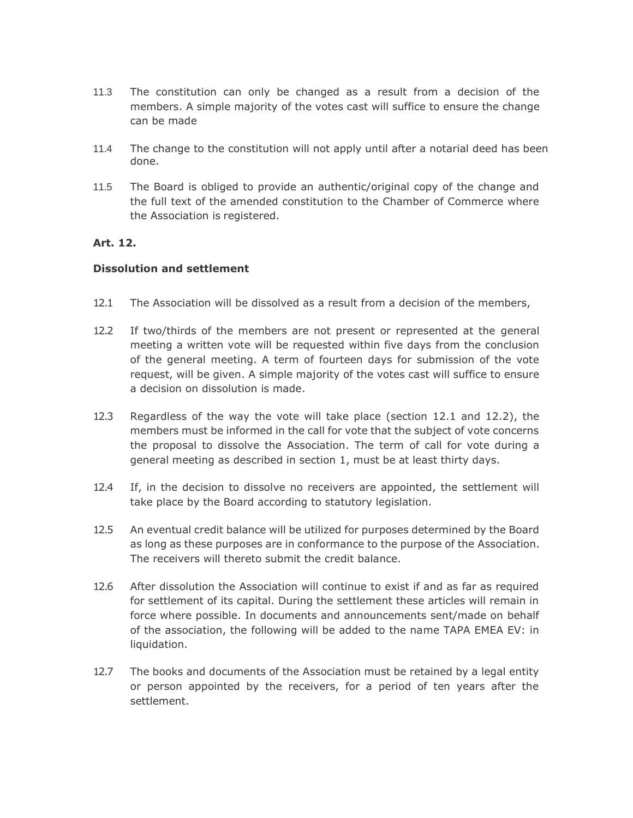- 11.3 The constitution can only be changed as a result from a decision of the members. A simple majority of the votes cast will suffice to ensure the change can be made
- 11.4 The change to the constitution will not apply until after a notarial deed has been done.
- 11.5 The Board is obliged to provide an authentic/original copy of the change and the full text of the amended constitution to the Chamber of Commerce where the Association is registered.

#### **Art. 12.**

#### **Dissolution and settlement**

- 12.1 The Association will be dissolved as a result from a decision of the members,
- 12.2 If two/thirds of the members are not present or represented at the general meeting a written vote will be requested within five days from the conclusion of the general meeting. A term of fourteen days for submission of the vote request, will be given. A simple majority of the votes cast will suffice to ensure a decision on dissolution is made.
- 12.3 Regardless of the way the vote will take place (section 12.1 and 12.2), the members must be informed in the call for vote that the subject of vote concerns the proposal to dissolve the Association. The term of call for vote during a general meeting as described in section 1, must be at least thirty days.
- 12.4 If, in the decision to dissolve no receivers are appointed, the settlement will take place by the Board according to statutory legislation.
- 12.5 An eventual credit balance will be utilized for purposes determined by the Board as long as these purposes are in conformance to the purpose of the Association. The receivers will thereto submit the credit balance.
- 12.6 After dissolution the Association will continue to exist if and as far as required for settlement of its capital. During the settlement these articles will remain in force where possible. In documents and announcements sent/made on behalf of the association, the following will be added to the name TAPA EMEA EV: in liquidation.
- 12.7 The books and documents of the Association must be retained by a legal entity or person appointed by the receivers, for a period of ten years after the settlement.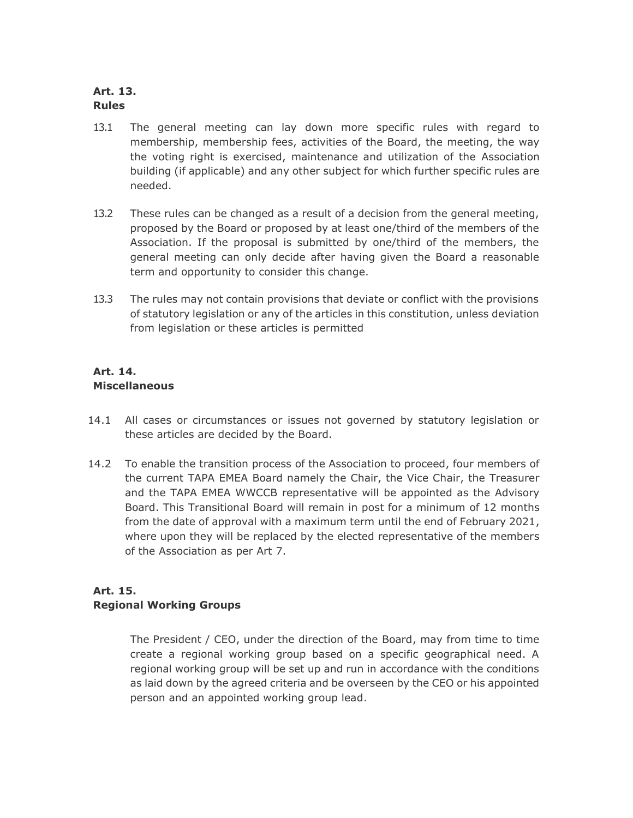## **Art. 13. Rules**

- 13.1 The general meeting can lay down more specific rules with regard to membership, membership fees, activities of the Board, the meeting, the way the voting right is exercised, maintenance and utilization of the Association building (if applicable) and any other subject for which further specific rules are needed.
- 13.2 These rules can be changed as a result of a decision from the general meeting, proposed by the Board or proposed by at least one/third of the members of the Association. If the proposal is submitted by one/third of the members, the general meeting can only decide after having given the Board a reasonable term and opportunity to consider this change.
- 13.3 The rules may not contain provisions that deviate or conflict with the provisions of statutory legislation or any of the articles in this constitution, unless deviation from legislation or these articles is permitted

# **Art. 14. Miscellaneous**

- 14.1 All cases or circumstances or issues not governed by statutory legislation or these articles are decided by the Board.
- 14.2 To enable the transition process of the Association to proceed, four members of the current TAPA EMEA Board namely the Chair, the Vice Chair, the Treasurer and the TAPA EMEA WWCCB representative will be appointed as the Advisory Board. This Transitional Board will remain in post for a minimum of 12 months from the date of approval with a maximum term until the end of February 2021, where upon they will be replaced by the elected representative of the members of the Association as per Art 7.

# **Art. 15. Regional Working Groups**

The President / CEO, under the direction of the Board, may from time to time create a regional working group based on a specific geographical need. A regional working group will be set up and run in accordance with the conditions as laid down by the agreed criteria and be overseen by the CEO or his appointed person and an appointed working group lead.